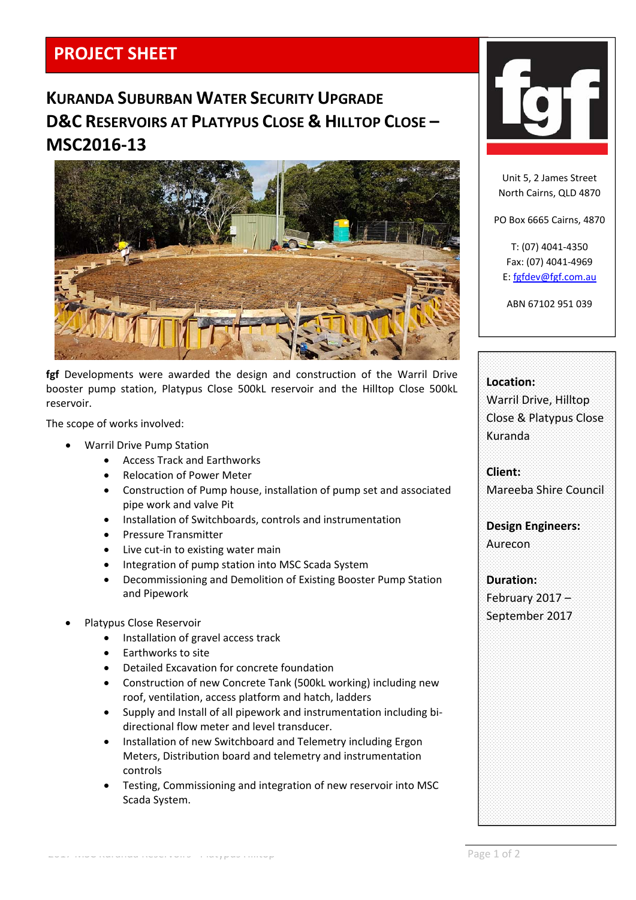## **PROJECT SHEET**

# **KURANDA SUBURBAN WATER SECURITY UPGRADE D&C RESERVOIRS AT PLATYPUS CLOSE & HILLTOP CLOSE – MSC2016‐13**



**fgf** Developments were awarded the design and construction of the Warril Drive booster pump station, Platypus Close 500kL reservoir and the Hilltop Close 500kL reservoir.

The scope of works involved:

- Warril Drive Pump Station
	- Access Track and Earthworks
	- Relocation of Power Meter
	- Construction of Pump house, installation of pump set and associated pipe work and valve Pit
	- Installation of Switchboards, controls and instrumentation
	- Pressure Transmitter
	- Live cut‐in to existing water main
	- Integration of pump station into MSC Scada System
	- Decommissioning and Demolition of Existing Booster Pump Station and Pipework
- Platypus Close Reservoir
	- Installation of gravel access track
	- Earthworks to site
	- Detailed Excavation for concrete foundation
	- Construction of new Concrete Tank (500kL working) including new roof, ventilation, access platform and hatch, ladders
	- Supply and Install of all pipework and instrumentation including bi‐ directional flow meter and level transducer.
	- Installation of new Switchboard and Telemetry including Ergon Meters, Distribution board and telemetry and instrumentation controls
	- Testing, Commissioning and integration of new reservoir into MSC Scada System.



Unit 5, 2 James Street North Cairns, QLD 4870

PO Box 6665 Cairns, 4870

T: (07) 4041‐4350 Fax: (07) 4041‐4969 E: fgfdev@fgf.com.au

ABN 67102 951 039

| Location:                |
|--------------------------|
| Warril Drive, Hilltop    |
| Close & Platypus Close   |
| Kuranda                  |
|                          |
|                          |
| Client:                  |
| Mareeba Shire Council    |
|                          |
| <b>Design Engineers:</b> |
|                          |
| Aurecon                  |
|                          |
| <b>Duration:</b>         |
| February 2017 -          |
| September 2017           |
|                          |
|                          |
|                          |
|                          |
|                          |
|                          |
|                          |
|                          |
|                          |
|                          |
|                          |
|                          |
|                          |